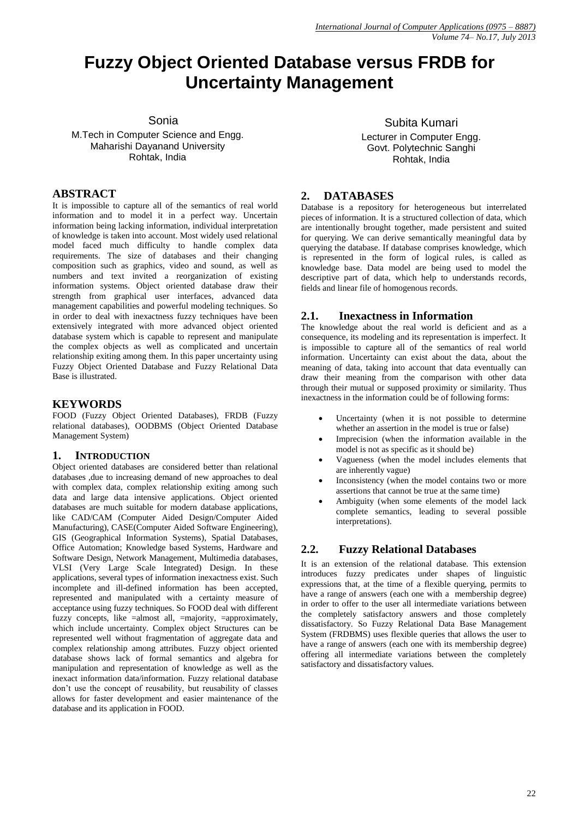# **Fuzzy Object Oriented Database versus FRDB for Uncertainty Management**

Sonia

M.Tech in Computer Science and Engg. Maharishi Dayanand University Rohtak, India

#### **ABSTRACT**

It is impossible to capture all of the semantics of real world information and to model it in a perfect way. Uncertain information being lacking information, individual interpretation of knowledge is taken into account. Most widely used relational model faced much difficulty to handle complex data requirements. The size of databases and their changing composition such as graphics, video and sound, as well as numbers and text invited a reorganization of existing information systems. Object oriented database draw their strength from graphical user interfaces, advanced data management capabilities and powerful modeling techniques. So in order to deal with inexactness fuzzy techniques have been extensively integrated with more advanced object oriented database system which is capable to represent and manipulate the complex objects as well as complicated and uncertain relationship exiting among them. In this paper uncertainty using Fuzzy Object Oriented Database and Fuzzy Relational Data Base is illustrated.

## **KEYWORDS**

FOOD (Fuzzy Object Oriented Databases), FRDB (Fuzzy relational databases), OODBMS (Object Oriented Database Management System)

### **1. INTRODUCTION**

Object oriented databases are considered better than relational databases ,due to increasing demand of new approaches to deal with complex data, complex relationship exiting among such data and large data intensive applications. Object oriented databases are much suitable for modern database applications, like CAD/CAM (Computer Aided Design/Computer Aided Manufacturing), CASE(Computer Aided Software Engineering), GIS (Geographical Information Systems), Spatial Databases, Office Automation; Knowledge based Systems, Hardware and Software Design, Network Management, Multimedia databases, VLSI (Very Large Scale Integrated) Design. In these applications, several types of information inexactness exist. Such incomplete and ill-defined information has been accepted, represented and manipulated with a certainty measure of acceptance using fuzzy techniques. So FOOD deal with different fuzzy concepts, like =almost all, =majority, =approximately, which include uncertainty. Complex object Structures can be represented well without fragmentation of aggregate data and complex relationship among attributes. Fuzzy object oriented database shows lack of formal semantics and algebra for manipulation and representation of knowledge as well as the inexact information data/information. Fuzzy relational database don't use the concept of reusability, but reusability of classes allows for faster development and easier maintenance of the database and its application in FOOD.

Subita Kumari Lecturer in Computer Engg. Govt. Polytechnic Sanghi Rohtak, India

## **2. DATABASES**

Database is a repository for heterogeneous but interrelated pieces of information. It is a structured collection of data, which are intentionally brought together, made persistent and suited for querying. We can derive semantically meaningful data by querying the database. If database comprises knowledge, which is represented in the form of logical rules, is called as knowledge base. Data model are being used to model the descriptive part of data, which help to understands records, fields and linear file of homogenous records.

### **2.1. Inexactness in Information**

The knowledge about the real world is deficient and as a consequence, its modeling and its representation is imperfect. It is impossible to capture all of the semantics of real world information. Uncertainty can exist about the data, about the meaning of data, taking into account that data eventually can draw their meaning from the comparison with other data through their mutual or supposed proximity or similarity. Thus inexactness in the information could be of following forms:

- Uncertainty (when it is not possible to determine whether an assertion in the model is true or false)
- Imprecision (when the information available in the model is not as specific as it should be)
- Vagueness (when the model includes elements that are inherently vague)
- Inconsistency (when the model contains two or more assertions that cannot be true at the same time)
- Ambiguity (when some elements of the model lack complete semantics, leading to several possible interpretations).

## **2.2. Fuzzy Relational Databases**

It is an extension of the relational database. This extension introduces fuzzy predicates under shapes of linguistic expressions that, at the time of a flexible querying, permits to have a range of answers (each one with a membership degree) in order to offer to the user all intermediate variations between the completely satisfactory answers and those completely dissatisfactory. So Fuzzy Relational Data Base Management System (FRDBMS) uses flexible queries that allows the user to have a range of answers (each one with its membership degree) offering all intermediate variations between the completely satisfactory and dissatisfactory values.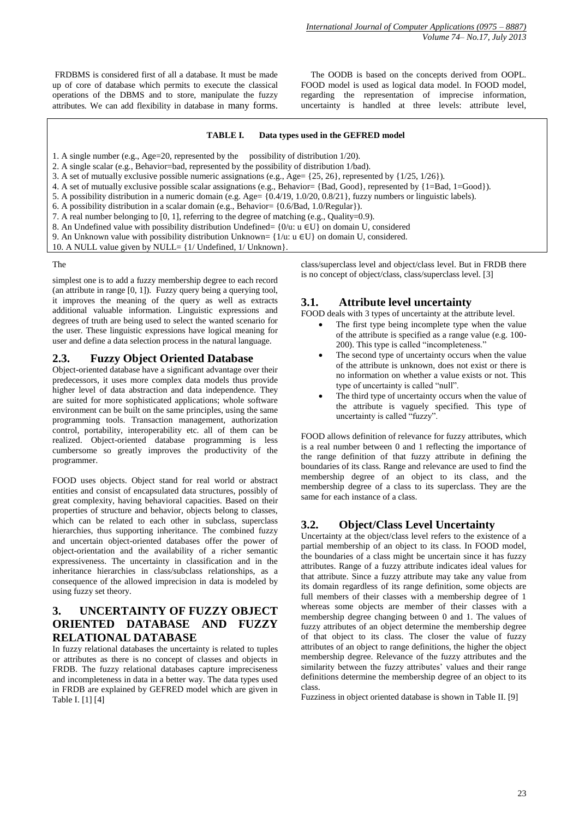FRDBMS is considered first of all a database. It must be made up of core of database which permits to execute the classical operations of the DBMS and to store, manipulate the fuzzy attributes. We can add flexibility in database in many forms.

 The OODB is based on the concepts derived from OOPL. FOOD model is used as logical data model. In FOOD model, regarding the representation of imprecise information, uncertainty is handled at three levels: attribute level,

#### **TABLE I. Data types used in the GEFRED model**

- 1. A single number (e.g., Age=20, represented by the possibility of distribution 1/20).
- 2. A single scalar (e.g., Behavior=bad, represented by the possibility of distribution 1/bad).
- 3. A set of mutually exclusive possible numeric assignations (e.g., Age=  $\{25, 26\}$ , represented by  $\{1/25, 1/26\}$ ).
- 4. A set of mutually exclusive possible scalar assignations (e.g., Behavior= {Bad, Good}, represented by {1=Bad, 1=Good}).
- 5. A possibility distribution in a numeric domain (e.g. Age= {0.4/19, 1.0/20, 0.8/21}, fuzzy numbers or linguistic labels).
- 6. A possibility distribution in a scalar domain (e.g., Behavior= {0.6/Bad, 1.0/Regular}).
- 7. A real number belonging to [0, 1], referring to the degree of matching (e.g., Quality=0.9).
- 8. An Undefined value with possibility distribution Undefined=  $\{0/\mu : u \in U\}$  on domain U, considered
- 9. An Unknown value with possibility distribution Unknown=  $\{1/u: u \in U\}$  on domain U, considered.
- 10. A NULL value given by NULL= {1/ Undefined, 1/ Unknown}.

#### The

simplest one is to add a fuzzy membership degree to each record (an attribute in range [0, 1]). Fuzzy query being a querying tool, it improves the meaning of the query as well as extracts additional valuable information. Linguistic expressions and degrees of truth are being used to select the wanted scenario for the user. These linguistic expressions have logical meaning for user and define a data selection process in the natural language.

#### **2.3. Fuzzy Object Oriented Database**

Object-oriented database have a significant advantage over their predecessors, it uses more complex data models thus provide higher level of data abstraction and data independence. They are suited for more sophisticated applications; whole software environment can be built on the same principles, using the same programming tools. Transaction management, authorization control, portability, interoperability etc. all of them can be realized. Object-oriented database programming is less cumbersome so greatly improves the productivity of the programmer.

FOOD uses objects. Object stand for real world or abstract entities and consist of encapsulated data structures, possibly of great complexity, having behavioral capacities. Based on their properties of structure and behavior, objects belong to classes, which can be related to each other in subclass, superclass hierarchies, thus supporting inheritance. The combined fuzzy and uncertain object-oriented databases offer the power of object-orientation and the availability of a richer semantic expressiveness. The uncertainty in classification and in the inheritance hierarchies in class/subclass relationships, as a consequence of the allowed imprecision in data is modeled by using fuzzy set theory.

## **3. UNCERTAINTY OF FUZZY OBJECT ORIENTED DATABASE AND FUZZY RELATIONAL DATABASE**

In fuzzy relational databases the uncertainty is related to tuples or attributes as there is no concept of classes and objects in FRDB. The fuzzy relational databases capture impreciseness and incompleteness in data in a better way. The data types used in FRDB are explained by GEFRED model which are given in Table I. [1] [4]

class/superclass level and object/class level. But in FRDB there is no concept of object/class, class/superclass level. [3]

#### **3.1. Attribute level uncertainty**

FOOD deals with 3 types of uncertainty at the attribute level.

- The first type being incomplete type when the value of the attribute is specified as a range value (e.g. 100- 200). This type is called "incompleteness."
- The second type of uncertainty occurs when the value of the attribute is unknown, does not exist or there is no information on whether a value exists or not. This type of uncertainty is called "null".
- The third type of uncertainty occurs when the value of the attribute is vaguely specified. This type of uncertainty is called "fuzzy".

FOOD allows definition of relevance for fuzzy attributes, which is a real number between 0 and 1 reflecting the importance of the range definition of that fuzzy attribute in defining the boundaries of its class. Range and relevance are used to find the membership degree of an object to its class, and the membership degree of a class to its superclass. They are the same for each instance of a class.

### **3.2. Object/Class Level Uncertainty**

Uncertainty at the object/class level refers to the existence of a partial membership of an object to its class. In FOOD model, the boundaries of a class might be uncertain since it has fuzzy attributes. Range of a fuzzy attribute indicates ideal values for that attribute. Since a fuzzy attribute may take any value from its domain regardless of its range definition, some objects are full members of their classes with a membership degree of 1 whereas some objects are member of their classes with a membership degree changing between 0 and 1. The values of fuzzy attributes of an object determine the membership degree of that object to its class. The closer the value of fuzzy attributes of an object to range definitions, the higher the object membership degree. Relevance of the fuzzy attributes and the similarity between the fuzzy attributes' values and their range definitions determine the membership degree of an object to its class.

Fuzziness in object oriented database is shown in Table II. [9]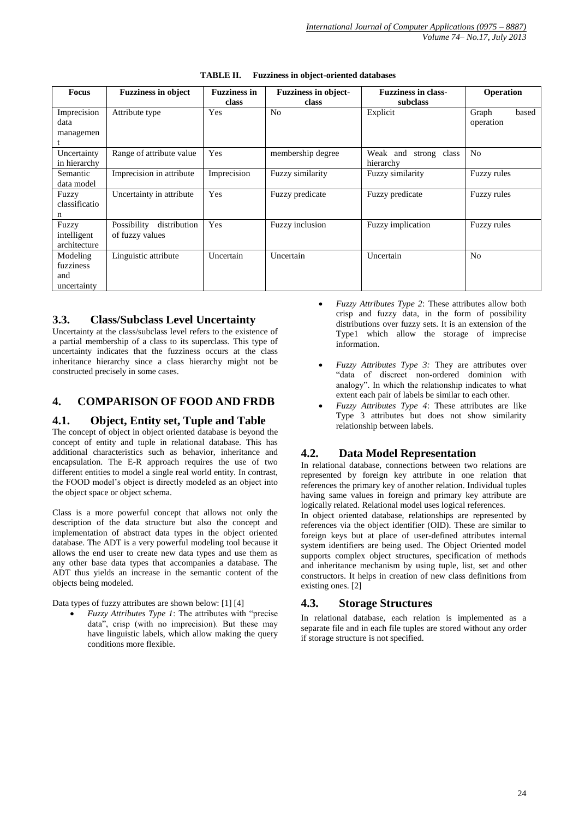| <b>Focus</b>                                | <b>Fuzziness in object</b>                     | <b>Fuzziness in</b><br>class | <b>Fuzziness in object-</b><br>class | <b>Fuzziness in class-</b><br>subclass | Operation                   |
|---------------------------------------------|------------------------------------------------|------------------------------|--------------------------------------|----------------------------------------|-----------------------------|
| Imprecision<br>data<br>managemen            | Attribute type                                 | Yes                          | N <sub>0</sub>                       | Explicit                               | Graph<br>based<br>operation |
| Uncertainty<br>in hierarchy                 | Range of attribute value                       | Yes                          | membership degree                    | Weak and<br>strong class<br>hierarchy  | N <sub>0</sub>              |
| Semantic<br>data model                      | Imprecision in attribute                       | Imprecision                  | Fuzzy similarity                     | Fuzzy similarity                       | Fuzzy rules                 |
| Fuzzy<br>classificatio<br>n                 | Uncertainty in attribute                       | Yes                          | Fuzzy predicate                      | Fuzzy predicate                        | Fuzzy rules                 |
| Fuzzy<br>intelligent<br>architecture        | Possibility<br>distribution<br>of fuzzy values | Yes                          | Fuzzy inclusion                      | Fuzzy implication                      | <b>Fuzzy rules</b>          |
| Modeling<br>fuzziness<br>and<br>uncertainty | Linguistic attribute                           | Uncertain                    | Uncertain                            | Uncertain                              | N <sub>0</sub>              |

**TABLE II. Fuzziness in object-oriented databases**

### **3.3. Class/Subclass Level Uncertainty**

Uncertainty at the class/subclass level refers to the existence of a partial membership of a class to its superclass. This type of uncertainty indicates that the fuzziness occurs at the class inheritance hierarchy since a class hierarchy might not be constructed precisely in some cases.

### **4. COMPARISON OF FOOD AND FRDB**

### **4.1. Object, Entity set, Tuple and Table**

The concept of object in object oriented database is beyond the concept of entity and tuple in relational database. This has additional characteristics such as behavior, inheritance and encapsulation. The E-R approach requires the use of two different entities to model a single real world entity. In contrast, the FOOD model's object is directly modeled as an object into the object space or object schema.

Class is a more powerful concept that allows not only the description of the data structure but also the concept and implementation of abstract data types in the object oriented database. The ADT is a very powerful modeling tool because it allows the end user to create new data types and use them as any other base data types that accompanies a database. The ADT thus yields an increase in the semantic content of the objects being modeled.

Data types of fuzzy attributes are shown below: [1] [4]

 *Fuzzy Attributes Type 1*: The attributes with "precise data", crisp (with no imprecision). But these may have linguistic labels, which allow making the query conditions more flexible.

- *Fuzzy Attributes Type 2*: These attributes allow both crisp and fuzzy data, in the form of possibility distributions over fuzzy sets. It is an extension of the Type1 which allow the storage of imprecise information.
- *Fuzzy Attributes Type 3:* They are attributes over "data of discreet non-ordered dominion with analogy". In which the relationship indicates to what extent each pair of labels be similar to each other.
- *Fuzzy Attributes Type 4*: These attributes are like Type 3 attributes but does not show similarity relationship between labels.

## **4.2. Data Model Representation**

In relational database, connections between two relations are represented by foreign key attribute in one relation that references the primary key of another relation. Individual tuples having same values in foreign and primary key attribute are logically related. Relational model uses logical references.

In object oriented database, relationships are represented by references via the object identifier (OID). These are similar to foreign keys but at place of user-defined attributes internal system identifiers are being used. The Object Oriented model supports complex object structures, specification of methods and inheritance mechanism by using tuple, list, set and other constructors. It helps in creation of new class definitions from existing ones. [2]

### **4.3. Storage Structures**

In relational database, each relation is implemented as a separate file and in each file tuples are stored without any order if storage structure is not specified.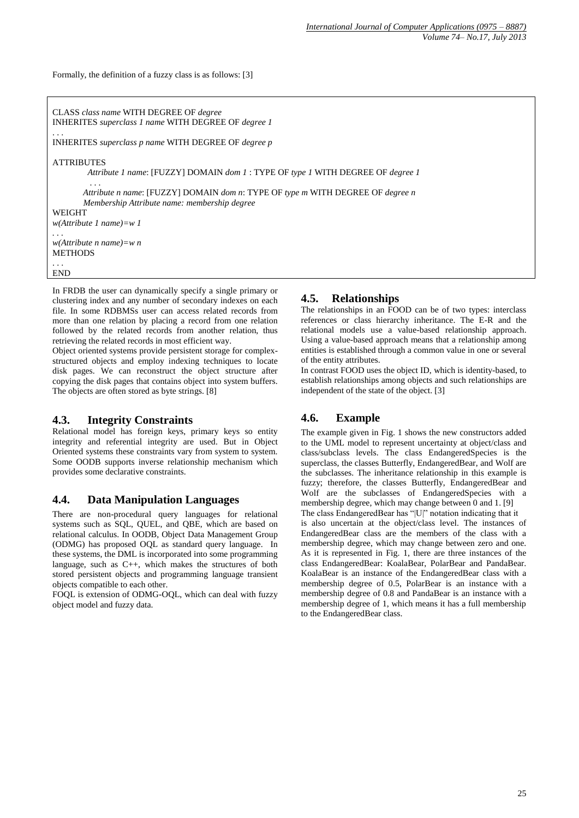Formally, the definition of a fuzzy class is as follows: [3]

CLASS *class name* WITH DEGREE OF *degree* INHERITES *superclass 1 name* WITH DEGREE OF *degree 1*

INHERITES *superclass p name* WITH DEGREE OF *degree p*

#### ATTRIBUTES

. . .

. . .

*Attribute 1 name*: [FUZZY] DOMAIN *dom 1* : TYPE OF *type 1* WITH DEGREE OF *degree 1*

 *Attribute n name*: [FUZZY] DOMAIN *dom n*: TYPE OF *type m* WITH DEGREE OF *degree n Membership Attribute name: membership degree*

WEIGHT

*w(Attribute 1 name)=w 1 . . .*

*w(Attribute n name)=w n* **METHODS** 

. . . END

In FRDB the user can dynamically specify a single primary or clustering index and any number of secondary indexes on each file. In some RDBMSs user can access related records from more than one relation by placing a record from one relation followed by the related records from another relation, thus retrieving the related records in most efficient way.

Object oriented systems provide persistent storage for complexstructured objects and employ indexing techniques to locate disk pages. We can reconstruct the object structure after copying the disk pages that contains object into system buffers. The objects are often stored as byte strings. [8]

### **4.3. Integrity Constraints**

Relational model has foreign keys, primary keys so entity integrity and referential integrity are used. But in Object Oriented systems these constraints vary from system to system. Some OODB supports inverse relationship mechanism which provides some declarative constraints.

### **4.4. Data Manipulation Languages**

There are non-procedural query languages for relational systems such as SQL, QUEL, and QBE, which are based on relational calculus. In OODB, Object Data Management Group (ODMG) has proposed OQL as standard query language. In these systems, the DML is incorporated into some programming language, such as C++, which makes the structures of both stored persistent objects and programming language transient objects compatible to each other.

FOQL is extension of ODMG-OQL, which can deal with fuzzy object model and fuzzy data.

### **4.5.****Relationships**

The relationships in an FOOD can be of two types: interclass references or class hierarchy inheritance. The E-R and the relational models use a value-based relationship approach. Using a value-based approach means that a relationship among entities is established through a common value in one or several of the entity attributes.

In contrast FOOD uses the object ID, which is identity-based, to establish relationships among objects and such relationships are independent of the state of the object. [3]

# **4.6. Example**

The example given in Fig. 1 shows the new constructors added to the UML model to represent uncertainty at object/class and class/subclass levels. The class EndangeredSpecies is the superclass, the classes Butterfly, EndangeredBear, and Wolf are the subclasses. The inheritance relationship in this example is fuzzy; therefore, the classes Butterfly, EndangeredBear and Wolf are the subclasses of EndangeredSpecies with a membership degree, which may change between 0 and 1. [9]

The class EndangeredBear has "|U|" notation indicating that it is also uncertain at the object/class level. The instances of EndangeredBear class are the members of the class with a membership degree, which may change between zero and one. As it is represented in Fig. 1, there are three instances of the class EndangeredBear: KoalaBear, PolarBear and PandaBear. KoalaBear is an instance of the EndangeredBear class with a membership degree of 0.5, PolarBear is an instance with a membership degree of 0.8 and PandaBear is an instance with a membership degree of 1, which means it has a full membership to the EndangeredBear class.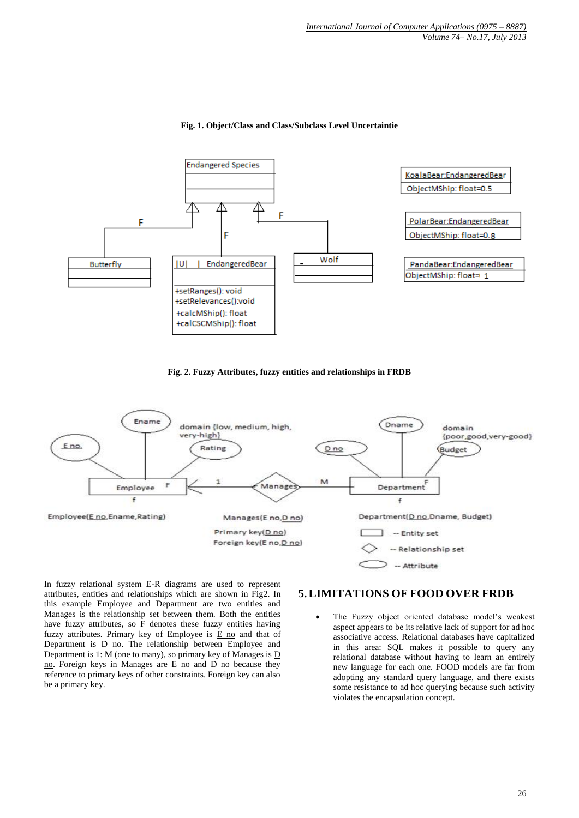

#### **Fig. 1. Object/Class and Class/Subclass Level Uncertaintie**





In fuzzy relational system E-R diagrams are used to represent attributes, entities and relationships which are shown in Fig2. In this example Employee and Department are two entities and Manages is the relationship set between them. Both the entities have fuzzy attributes, so F denotes these fuzzy entities having fuzzy attributes. Primary key of Employee is  $E$  no and that of Department is D no. The relationship between Employee and Department is 1: M (one to many), so primary key of Manages is D no. Foreign keys in Manages are E no and D no because they reference to primary keys of other constraints. Foreign key can also be a primary key.

## **5.LIMITATIONS OF FOOD OVER FRDB**

 The Fuzzy object oriented database model's weakest aspect appears to be its relative lack of support for ad hoc associative access. Relational databases have capitalized in this area: SQL makes it possible to query any relational database without having to learn an entirely new language for each one. FOOD models are far from adopting any standard query language, and there exists some resistance to ad hoc querying because such activity violates the encapsulation concept.